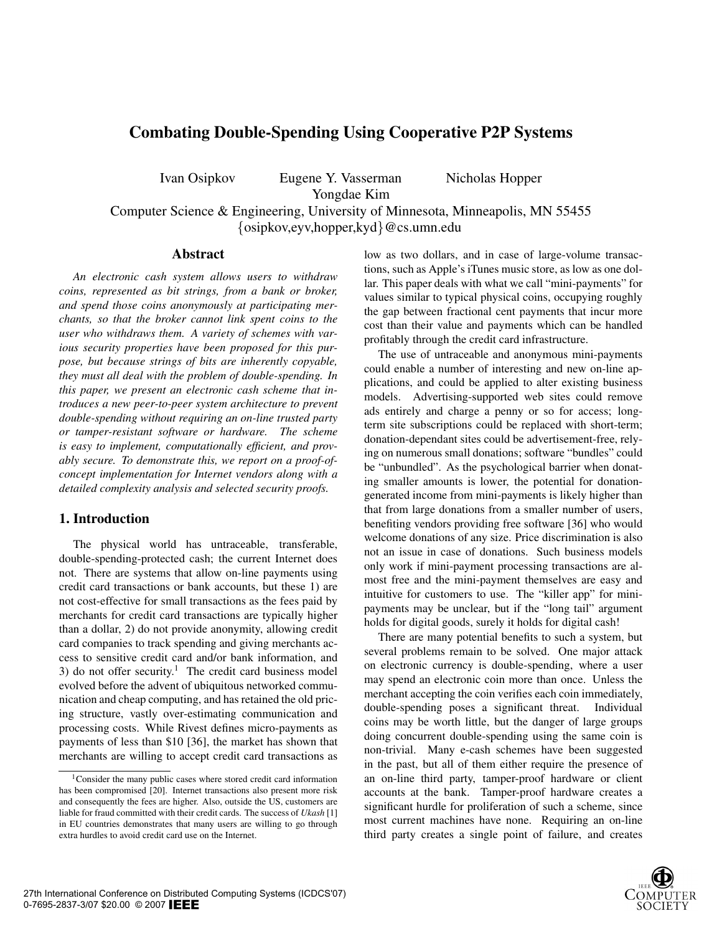# Combating Double-Spending Using Cooperative P2P Systems

Ivan Osipkov Eugene Y. Vasserman Nicholas Hopper

Yongdae Kim

Computer Science & Engineering, University of Minnesota, Minneapolis, MN 55455 {osipkov,eyv,hopper,kyd}@cs.umn.edu

### Abstract

*An electronic cash system allows users to withdraw coins, represented as bit strings, from a bank or broker, and spend those coins anonymously at participating merchants, so that the broker cannot link spent coins to the user who withdraws them. A variety of schemes with various security properties have been proposed for this purpose, but because strings of bits are inherently copyable, they must all deal with the problem of double-spending. In this paper, we present an electronic cash scheme that introduces a new peer-to-peer system architecture to prevent double-spending without requiring an on-line trusted party or tamper-resistant software or hardware. The scheme is easy to implement, computationally efficient, and provably secure. To demonstrate this, we report on a proof-ofconcept implementation for Internet vendors along with a detailed complexity analysis and selected security proofs.*

### 1. Introduction

The physical world has untraceable, transferable, double-spending-protected cash; the current Internet does not. There are systems that allow on-line payments using credit card transactions or bank accounts, but these 1) are not cost-effective for small transactions as the fees paid by merchants for credit card transactions are typically higher than a dollar, 2) do not provide anonymity, allowing credit card companies to track spending and giving merchants access to sensitive credit card and/or bank information, and 3) do not offer security.<sup>1</sup> The credit card business model evolved before the advent of ubiquitous networked communication and cheap computing, and has retained the old pricing structure, vastly over-estimating communication and processing costs. While Rivest defines micro-payments as payments of less than \$10 [36], the market has shown that merchants are willing to accept credit card transactions as low as two dollars, and in case of large-volume transactions, such as Apple's iTunes music store, as low as one dollar. This paper deals with what we call "mini-payments" for values similar to typical physical coins, occupying roughly the gap between fractional cent payments that incur more cost than their value and payments which can be handled profitably through the credit card infrastructure.

The use of untraceable and anonymous mini-payments could enable a number of interesting and new on-line applications, and could be applied to alter existing business models. Advertising-supported web sites could remove ads entirely and charge a penny or so for access; longterm site subscriptions could be replaced with short-term; donation-dependant sites could be advertisement-free, relying on numerous small donations; software "bundles" could be "unbundled". As the psychological barrier when donating smaller amounts is lower, the potential for donationgenerated income from mini-payments is likely higher than that from large donations from a smaller number of users, benefiting vendors providing free software [36] who would welcome donations of any size. Price discrimination is also not an issue in case of donations. Such business models only work if mini-payment processing transactions are almost free and the mini-payment themselves are easy and intuitive for customers to use. The "killer app" for minipayments may be unclear, but if the "long tail" argument holds for digital goods, surely it holds for digital cash!

There are many potential benefits to such a system, but several problems remain to be solved. One major attack on electronic currency is double-spending, where a user may spend an electronic coin more than once. Unless the merchant accepting the coin verifies each coin immediately, double-spending poses a significant threat. Individual coins may be worth little, but the danger of large groups doing concurrent double-spending using the same coin is non-trivial. Many e-cash schemes have been suggested in the past, but all of them either require the presence of an on-line third party, tamper-proof hardware or client accounts at the bank. Tamper-proof hardware creates a significant hurdle for proliferation of such a scheme, since most current machines have none. Requiring an on-line third party creates a single point of failure, and creates



 $1$ Consider the many public cases where stored credit card information has been compromised [20]. Internet transactions also present more risk and consequently the fees are higher. Also, outside the US, customers are liable for fraud committed with their credit cards. The success of *Ukash* [1] in EU countries demonstrates that many users are willing to go through extra hurdles to avoid credit card use on the Internet.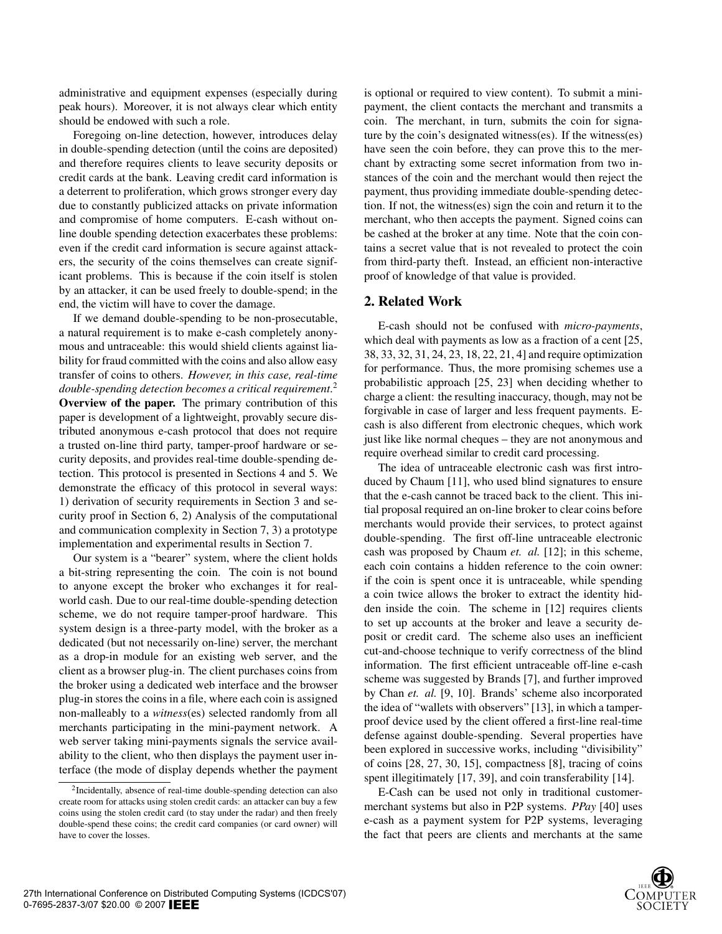administrative and equipment expenses (especially during peak hours). Moreover, it is not always clear which entity should be endowed with such a role.

Foregoing on-line detection, however, introduces delay in double-spending detection (until the coins are deposited) and therefore requires clients to leave security deposits or credit cards at the bank. Leaving credit card information is a deterrent to proliferation, which grows stronger every day due to constantly publicized attacks on private information and compromise of home computers. E-cash without online double spending detection exacerbates these problems: even if the credit card information is secure against attackers, the security of the coins themselves can create significant problems. This is because if the coin itself is stolen by an attacker, it can be used freely to double-spend; in the end, the victim will have to cover the damage.

If we demand double-spending to be non-prosecutable, a natural requirement is to make e-cash completely anonymous and untraceable: this would shield clients against liability for fraud committed with the coins and also allow easy transfer of coins to others. *However, in this case, real-time double-spending detection becomes a critical requirement*. 2 Overview of the paper. The primary contribution of this paper is development of a lightweight, provably secure distributed anonymous e-cash protocol that does not require a trusted on-line third party, tamper-proof hardware or security deposits, and provides real-time double-spending detection. This protocol is presented in Sections 4 and 5. We demonstrate the efficacy of this protocol in several ways: 1) derivation of security requirements in Section 3 and security proof in Section 6, 2) Analysis of the computational and communication complexity in Section 7, 3) a prototype implementation and experimental results in Section 7.

Our system is a "bearer" system, where the client holds a bit-string representing the coin. The coin is not bound to anyone except the broker who exchanges it for realworld cash. Due to our real-time double-spending detection scheme, we do not require tamper-proof hardware. This system design is a three-party model, with the broker as a dedicated (but not necessarily on-line) server, the merchant as a drop-in module for an existing web server, and the client as a browser plug-in. The client purchases coins from the broker using a dedicated web interface and the browser plug-in stores the coins in a file, where each coin is assigned non-malleably to a *witness*(es) selected randomly from all merchants participating in the mini-payment network. A web server taking mini-payments signals the service availability to the client, who then displays the payment user interface (the mode of display depends whether the payment

is optional or required to view content). To submit a minipayment, the client contacts the merchant and transmits a coin. The merchant, in turn, submits the coin for signature by the coin's designated witness(es). If the witness(es) have seen the coin before, they can prove this to the merchant by extracting some secret information from two instances of the coin and the merchant would then reject the payment, thus providing immediate double-spending detection. If not, the witness(es) sign the coin and return it to the merchant, who then accepts the payment. Signed coins can be cashed at the broker at any time. Note that the coin contains a secret value that is not revealed to protect the coin from third-party theft. Instead, an efficient non-interactive proof of knowledge of that value is provided.

### 2. Related Work

E-cash should not be confused with *micro-payments*, which deal with payments as low as a fraction of a cent [25, 38, 33, 32, 31, 24, 23, 18, 22, 21, 4] and require optimization for performance. Thus, the more promising schemes use a probabilistic approach [25, 23] when deciding whether to charge a client: the resulting inaccuracy, though, may not be forgivable in case of larger and less frequent payments. Ecash is also different from electronic cheques, which work just like like normal cheques – they are not anonymous and require overhead similar to credit card processing.

The idea of untraceable electronic cash was first introduced by Chaum [11], who used blind signatures to ensure that the e-cash cannot be traced back to the client. This initial proposal required an on-line broker to clear coins before merchants would provide their services, to protect against double-spending. The first off-line untraceable electronic cash was proposed by Chaum *et. al.* [12]; in this scheme, each coin contains a hidden reference to the coin owner: if the coin is spent once it is untraceable, while spending a coin twice allows the broker to extract the identity hidden inside the coin. The scheme in [12] requires clients to set up accounts at the broker and leave a security deposit or credit card. The scheme also uses an inefficient cut-and-choose technique to verify correctness of the blind information. The first efficient untraceable off-line e-cash scheme was suggested by Brands [7], and further improved by Chan *et. al.* [9, 10]. Brands' scheme also incorporated the idea of "wallets with observers" [13], in which a tamperproof device used by the client offered a first-line real-time defense against double-spending. Several properties have been explored in successive works, including "divisibility" of coins [28, 27, 30, 15], compactness [8], tracing of coins spent illegitimately [17, 39], and coin transferability [14].

E-Cash can be used not only in traditional customermerchant systems but also in P2P systems. *PPay* [40] uses e-cash as a payment system for P2P systems, leveraging the fact that peers are clients and merchants at the same



<sup>&</sup>lt;sup>2</sup>Incidentally, absence of real-time double-spending detection can also create room for attacks using stolen credit cards: an attacker can buy a few coins using the stolen credit card (to stay under the radar) and then freely double-spend these coins; the credit card companies (or card owner) will have to cover the losses.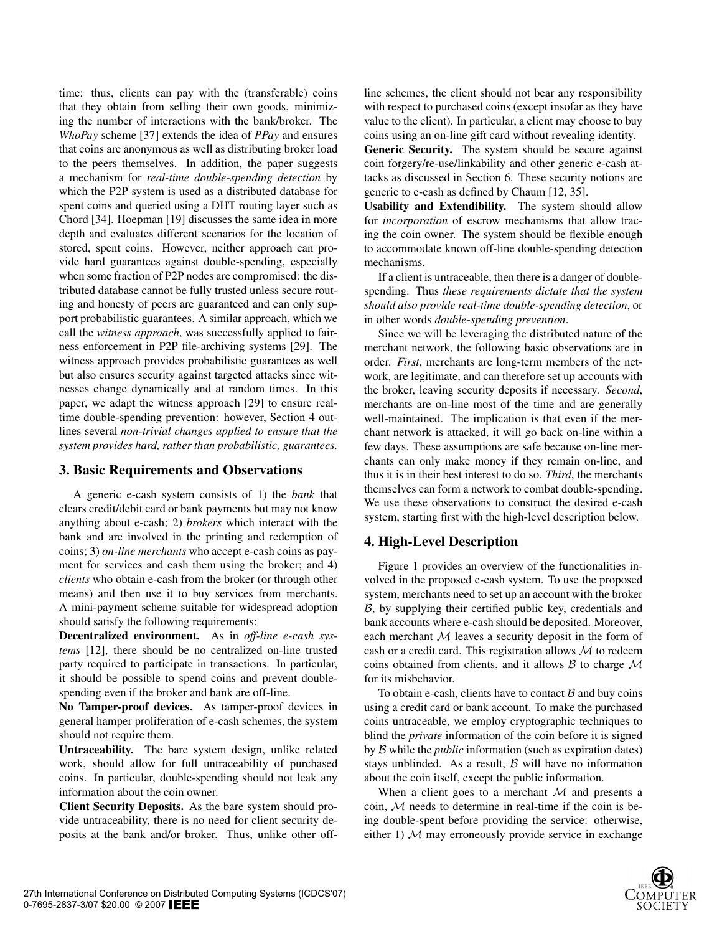time: thus, clients can pay with the (transferable) coins that they obtain from selling their own goods, minimizing the number of interactions with the bank/broker. The *WhoPay* scheme [37] extends the idea of *PPay* and ensures that coins are anonymous as well as distributing broker load to the peers themselves. In addition, the paper suggests a mechanism for *real-time double-spending detection* by which the P2P system is used as a distributed database for spent coins and queried using a DHT routing layer such as Chord [34]. Hoepman [19] discusses the same idea in more depth and evaluates different scenarios for the location of stored, spent coins. However, neither approach can provide hard guarantees against double-spending, especially when some fraction of P2P nodes are compromised: the distributed database cannot be fully trusted unless secure routing and honesty of peers are guaranteed and can only support probabilistic guarantees. A similar approach, which we call the *witness approach*, was successfully applied to fairness enforcement in P2P file-archiving systems [29]. The witness approach provides probabilistic guarantees as well but also ensures security against targeted attacks since witnesses change dynamically and at random times. In this paper, we adapt the witness approach [29] to ensure realtime double-spending prevention: however, Section 4 outlines several *non-trivial changes applied to ensure that the system provides hard, rather than probabilistic, guarantees.*

### 3. Basic Requirements and Observations

A generic e-cash system consists of 1) the *bank* that clears credit/debit card or bank payments but may not know anything about e-cash; 2) *brokers* which interact with the bank and are involved in the printing and redemption of coins; 3) *on-line merchants* who accept e-cash coins as payment for services and cash them using the broker; and 4) *clients* who obtain e-cash from the broker (or through other means) and then use it to buy services from merchants. A mini-payment scheme suitable for widespread adoption should satisfy the following requirements:

Decentralized environment. As in *off-line e-cash systems* [12], there should be no centralized on-line trusted party required to participate in transactions. In particular, it should be possible to spend coins and prevent doublespending even if the broker and bank are off-line.

No Tamper-proof devices. As tamper-proof devices in general hamper proliferation of e-cash schemes, the system should not require them.

Untraceability. The bare system design, unlike related work, should allow for full untraceability of purchased coins. In particular, double-spending should not leak any information about the coin owner.

Client Security Deposits. As the bare system should provide untraceability, there is no need for client security deposits at the bank and/or broker. Thus, unlike other offline schemes, the client should not bear any responsibility with respect to purchased coins (except insofar as they have value to the client). In particular, a client may choose to buy coins using an on-line gift card without revealing identity.

Generic Security. The system should be secure against coin forgery/re-use/linkability and other generic e-cash attacks as discussed in Section 6. These security notions are generic to e-cash as defined by Chaum [12, 35].

Usability and Extendibility. The system should allow for *incorporation* of escrow mechanisms that allow tracing the coin owner. The system should be flexible enough to accommodate known off-line double-spending detection mechanisms.

If a client is untraceable, then there is a danger of doublespending. Thus *these requirements dictate that the system should also provide real-time double-spending detection*, or in other words *double-spending prevention*.

Since we will be leveraging the distributed nature of the merchant network, the following basic observations are in order. *First*, merchants are long-term members of the network, are legitimate, and can therefore set up accounts with the broker, leaving security deposits if necessary. *Second*, merchants are on-line most of the time and are generally well-maintained. The implication is that even if the merchant network is attacked, it will go back on-line within a few days. These assumptions are safe because on-line merchants can only make money if they remain on-line, and thus it is in their best interest to do so. *Third*, the merchants themselves can form a network to combat double-spending. We use these observations to construct the desired e-cash system, starting first with the high-level description below.

## 4. High-Level Description

Figure 1 provides an overview of the functionalities involved in the proposed e-cash system. To use the proposed system, merchants need to set up an account with the broker B, by supplying their certified public key, credentials and bank accounts where e-cash should be deposited. Moreover, each merchant  $M$  leaves a security deposit in the form of cash or a credit card. This registration allows  $M$  to redeem coins obtained from clients, and it allows  $\beta$  to charge  $\mathcal M$ for its misbehavior.

To obtain e-cash, clients have to contact  $\beta$  and buy coins using a credit card or bank account. To make the purchased coins untraceable, we employ cryptographic techniques to blind the *private* information of the coin before it is signed by B while the *public* information (such as expiration dates) stays unblinded. As a result,  $\beta$  will have no information about the coin itself, except the public information.

When a client goes to a merchant  $M$  and presents a coin,  $M$  needs to determine in real-time if the coin is being double-spent before providing the service: otherwise, either 1)  $M$  may erroneously provide service in exchange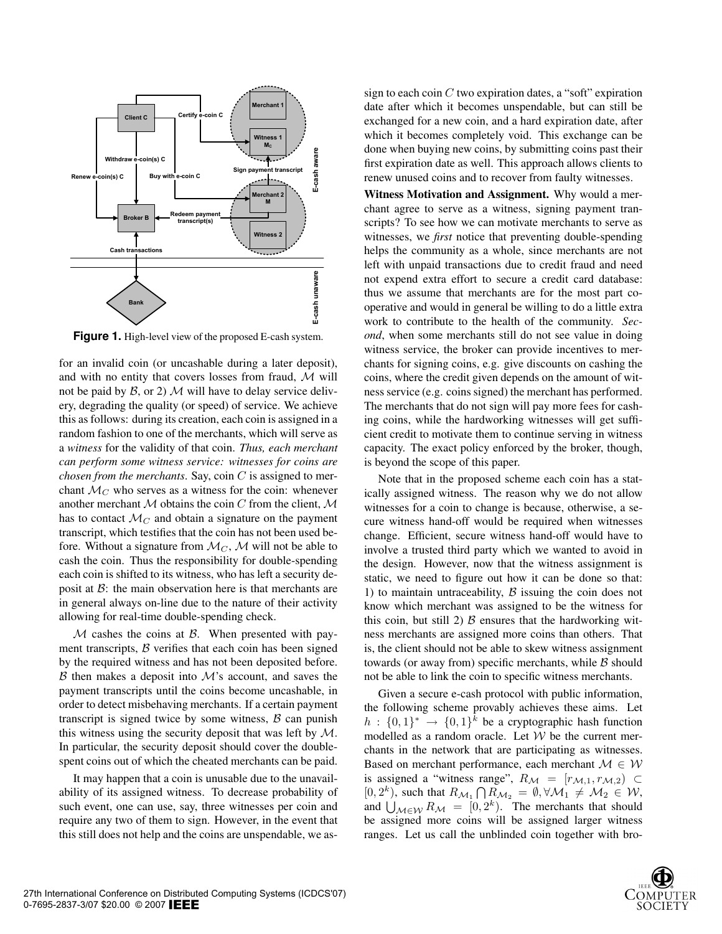

Figure 1. High-level view of the proposed E-cash system.

for an invalid coin (or uncashable during a later deposit), and with no entity that covers losses from fraud, M will not be paid by  $\beta$ , or 2) M will have to delay service delivery, degrading the quality (or speed) of service. We achieve this as follows: during its creation, each coin is assigned in a random fashion to one of the merchants, which will serve as a *witness* for the validity of that coin. *Thus, each merchant can perform some witness service: witnesses for coins are chosen from the merchants*. Say, coin C is assigned to merchant  $\mathcal{M}_C$  who serves as a witness for the coin: whenever another merchant  $M$  obtains the coin  $C$  from the client,  $M$ has to contact  $\mathcal{M}_C$  and obtain a signature on the payment transcript, which testifies that the coin has not been used before. Without a signature from  $\mathcal{M}_C$ , M will not be able to cash the coin. Thus the responsibility for double-spending each coin is shifted to its witness, who has left a security deposit at  $B$ : the main observation here is that merchants are in general always on-line due to the nature of their activity allowing for real-time double-spending check.

 $M$  cashes the coins at  $B$ . When presented with payment transcripts,  $\beta$  verifies that each coin has been signed by the required witness and has not been deposited before.  $\beta$  then makes a deposit into  $\mathcal{M}$ 's account, and saves the payment transcripts until the coins become uncashable, in order to detect misbehaving merchants. If a certain payment transcript is signed twice by some witness,  $\beta$  can punish this witness using the security deposit that was left by  $M$ . In particular, the security deposit should cover the doublespent coins out of which the cheated merchants can be paid.

It may happen that a coin is unusable due to the unavailability of its assigned witness. To decrease probability of such event, one can use, say, three witnesses per coin and require any two of them to sign. However, in the event that this still does not help and the coins are unspendable, we assign to each coin  $C$  two expiration dates, a "soft" expiration date after which it becomes unspendable, but can still be exchanged for a new coin, and a hard expiration date, after which it becomes completely void. This exchange can be done when buying new coins, by submitting coins past their first expiration date as well. This approach allows clients to renew unused coins and to recover from faulty witnesses.

Witness Motivation and Assignment. Why would a merchant agree to serve as a witness, signing payment transcripts? To see how we can motivate merchants to serve as witnesses, we *first* notice that preventing double-spending helps the community as a whole, since merchants are not left with unpaid transactions due to credit fraud and need not expend extra effort to secure a credit card database: thus we assume that merchants are for the most part cooperative and would in general be willing to do a little extra work to contribute to the health of the community. *Second*, when some merchants still do not see value in doing witness service, the broker can provide incentives to merchants for signing coins, e.g. give discounts on cashing the coins, where the credit given depends on the amount of witness service (e.g. coins signed) the merchant has performed. The merchants that do not sign will pay more fees for cashing coins, while the hardworking witnesses will get sufficient credit to motivate them to continue serving in witness capacity. The exact policy enforced by the broker, though, is beyond the scope of this paper.

Note that in the proposed scheme each coin has a statically assigned witness. The reason why we do not allow witnesses for a coin to change is because, otherwise, a secure witness hand-off would be required when witnesses change. Efficient, secure witness hand-off would have to involve a trusted third party which we wanted to avoid in the design. However, now that the witness assignment is static, we need to figure out how it can be done so that: 1) to maintain untraceability,  $\beta$  issuing the coin does not know which merchant was assigned to be the witness for this coin, but still 2)  $\beta$  ensures that the hardworking witness merchants are assigned more coins than others. That is, the client should not be able to skew witness assignment towards (or away from) specific merchants, while  $\beta$  should not be able to link the coin to specific witness merchants.

Given a secure e-cash protocol with public information, the following scheme provably achieves these aims. Let  $h: \{0,1\}^* \rightarrow \{0,1\}^k$  be a cryptographic hash function modelled as a random oracle. Let  $W$  be the current merchants in the network that are participating as witnesses. Based on merchant performance, each merchant  $M \in W$ is assigned a "witness range",  $R_{\mathcal{M}} = [r_{\mathcal{M},1}, r_{\mathcal{M},2}) \subset$  $[0, 2^k)$ , such that  $R_{\mathcal{M}_1} \bigcap R_{\mathcal{M}_2} = \emptyset$ ,  $\forall \mathcal{M}_1 \neq \mathcal{M}_2 \in \mathcal{W}$ , and  $\bigcup_{\mathcal{M}\in\mathcal{W}} R_{\mathcal{M}} = [0, 2^k)$ . The merchants that should be assigned more coins will be assigned larger witness ranges. Let us call the unblinded coin together with bro-

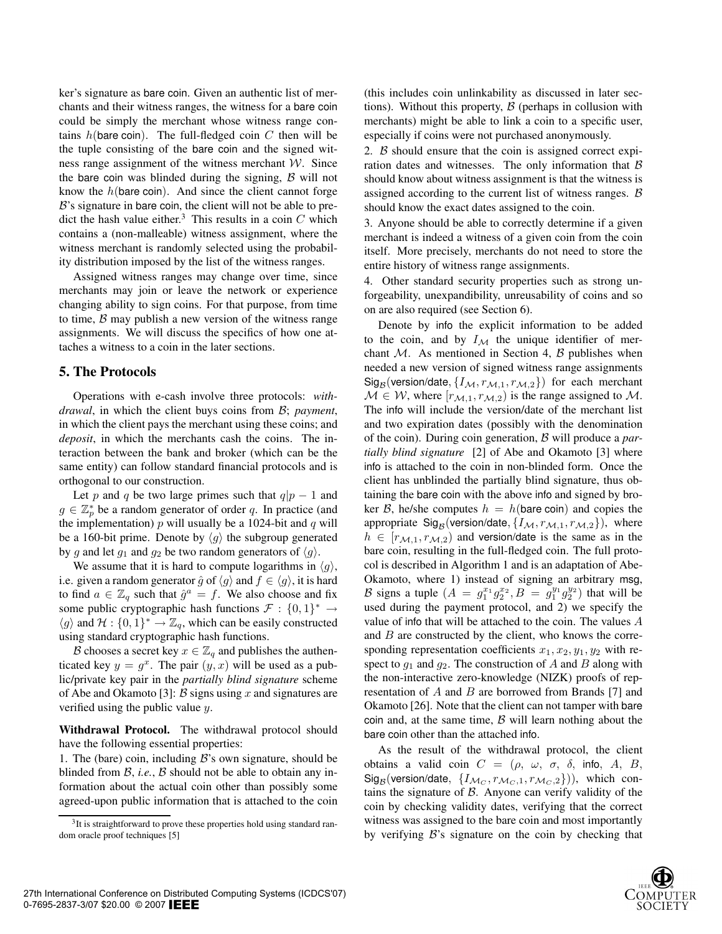ker's signature as bare coin. Given an authentic list of merchants and their witness ranges, the witness for a bare coin could be simply the merchant whose witness range contains  $h$ (bare coin). The full-fledged coin  $C$  then will be the tuple consisting of the bare coin and the signed witness range assignment of the witness merchant  $W$ . Since the bare coin was blinded during the signing,  $\beta$  will not know the  $h$ (bare coin). And since the client cannot forge  $B$ 's signature in bare coin, the client will not be able to predict the hash value either.<sup>3</sup> This results in a coin  $C$  which contains a (non-malleable) witness assignment, where the witness merchant is randomly selected using the probability distribution imposed by the list of the witness ranges.

Assigned witness ranges may change over time, since merchants may join or leave the network or experience changing ability to sign coins. For that purpose, from time to time,  $\beta$  may publish a new version of the witness range assignments. We will discuss the specifics of how one attaches a witness to a coin in the later sections.

### 5. The Protocols

Operations with e-cash involve three protocols: *withdrawal*, in which the client buys coins from B; *payment*, in which the client pays the merchant using these coins; and *deposit*, in which the merchants cash the coins. The interaction between the bank and broker (which can be the same entity) can follow standard financial protocols and is orthogonal to our construction.

Let p and q be two large primes such that  $q|p-1$  and  $g \in \mathbb{Z}_p^*$  be a random generator of order q. In practice (and the implementation)  $p$  will usually be a 1024-bit and  $q$  will be a 160-bit prime. Denote by  $\langle g \rangle$  the subgroup generated by g and let  $g_1$  and  $g_2$  be two random generators of  $\langle g \rangle$ .

We assume that it is hard to compute logarithms in  $\langle q \rangle$ , i.e. given a random generator  $\hat{g}$  of  $\langle g \rangle$  and  $f \in \langle g \rangle$ , it is hard to find  $a \in \mathbb{Z}_q$  such that  $\hat{g}^a = f$ . We also choose and fix some public cryptographic hash functions  $\mathcal{F}: \{0,1\}^* \to$  $\langle g \rangle$  and  $\mathcal{H} : \{0, 1\}^* \to \mathbb{Z}_q$ , which can be easily constructed using standard cryptographic hash functions.

B chooses a secret key  $x \in \mathbb{Z}_q$  and publishes the authenticated key  $y = g^x$ . The pair  $(y, x)$  will be used as a public/private key pair in the *partially blind signature* scheme of Abe and Okamoto [3]:  $\beta$  signs using x and signatures are verified using the public value y.

Withdrawal Protocol. The withdrawal protocol should have the following essential properties:

1. The (bare) coin, including  $B$ 's own signature, should be blinded from  $\beta$ , *i.e.*,  $\beta$  should not be able to obtain any information about the actual coin other than possibly some agreed-upon public information that is attached to the coin (this includes coin unlinkability as discussed in later sections). Without this property,  $\beta$  (perhaps in collusion with merchants) might be able to link a coin to a specific user, especially if coins were not purchased anonymously.

2. B should ensure that the coin is assigned correct expiration dates and witnesses. The only information that  $\beta$ should know about witness assignment is that the witness is assigned according to the current list of witness ranges.  $\beta$ should know the exact dates assigned to the coin.

3. Anyone should be able to correctly determine if a given merchant is indeed a witness of a given coin from the coin itself. More precisely, merchants do not need to store the entire history of witness range assignments.

4. Other standard security properties such as strong unforgeability, unexpandibility, unreusability of coins and so on are also required (see Section 6).

Denote by info the explicit information to be added to the coin, and by  $I_{\mathcal{M}}$  the unique identifier of merchant  $M$ . As mentioned in Section 4,  $\beta$  publishes when needed a new version of signed witness range assignments  $\text{Sig}_B(\text{version}/\text{date}, \{I_M, r_{M,1}, r_{M,2}\})$  for each merchant  $M \in W$ , where  $[r_{M,1}, r_{M,2})$  is the range assigned to M. The info will include the version/date of the merchant list and two expiration dates (possibly with the denomination of the coin). During coin generation, B will produce a *partially blind signature* [2] of Abe and Okamoto [3] where info is attached to the coin in non-blinded form. Once the client has unblinded the partially blind signature, thus obtaining the bare coin with the above info and signed by broker B, he/she computes  $h = h$ (bare coin) and copies the appropriate Sig<sub>B</sub>(version/date,  $\{I_{\mathcal{M}}, r_{\mathcal{M},1}, r_{\mathcal{M},2}\}$ ), where  $h \in [r_{\mathcal{M},1}, r_{\mathcal{M},2})$  and version/date is the same as in the bare coin, resulting in the full-fledged coin. The full protocol is described in Algorithm 1 and is an adaptation of Abe-Okamoto, where 1) instead of signing an arbitrary msg, B signs a tuple  $(A = g_1^{x_1} g_2^{x_2}, B = g_1^{y_1} g_2^{y_2})$  that will be used during the payment protocol, and 2) we specify the value of info that will be attached to the coin. The values A and  $B$  are constructed by the client, who knows the corresponding representation coefficients  $x_1, x_2, y_1, y_2$  with respect to  $g_1$  and  $g_2$ . The construction of A and B along with the non-interactive zero-knowledge (NIZK) proofs of representation of  $A$  and  $B$  are borrowed from Brands [7] and Okamoto [26]. Note that the client can not tamper with bare coin and, at the same time,  $\beta$  will learn nothing about the bare coin other than the attached info.

As the result of the withdrawal protocol, the client obtains a valid coin  $C = (\rho, \omega, \sigma, \delta, \text{info}, A, B, \text{phi})$  $\textsf{Sig}_{\mathcal{B}}(\textsf{version}/\textsf{date}, \ \{I_{\mathcal{M}_C}, r_{\mathcal{M}_C,1}, r_{\mathcal{M}_C,2}\})), \ \ \text{which} \ \ \textsf{con--}$ tains the signature of  $\beta$ . Anyone can verify validity of the coin by checking validity dates, verifying that the correct witness was assigned to the bare coin and most importantly by verifying  $B$ 's signature on the coin by checking that

 $3$ It is straightforward to prove these properties hold using standard random oracle proof techniques [5]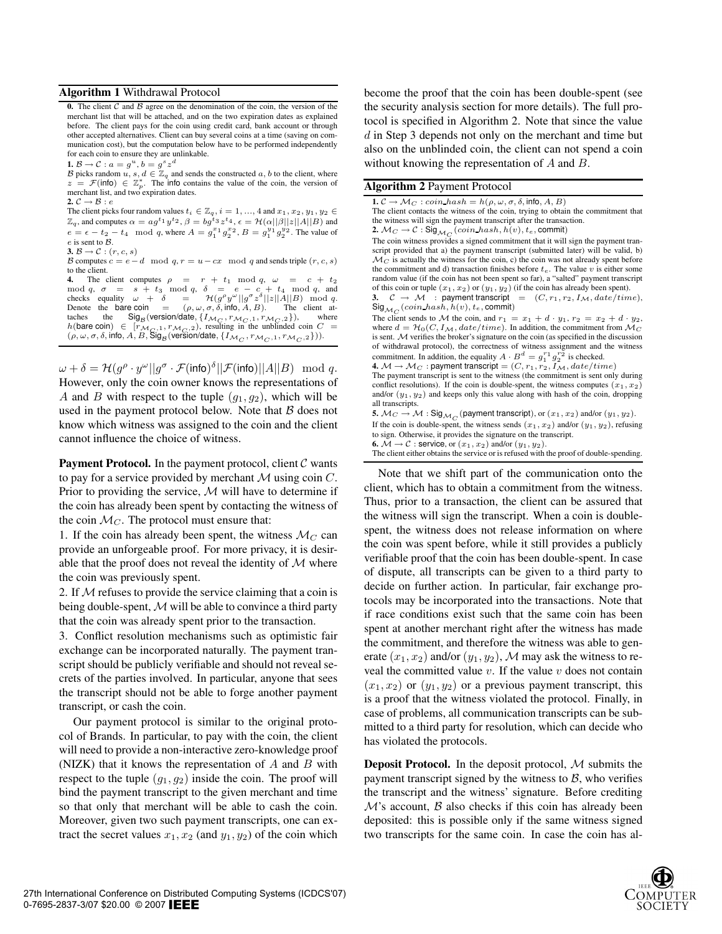#### Algorithm 1 Withdrawal Protocol

0. The client  $\mathcal C$  and  $\mathcal B$  agree on the denomination of the coin, the version of the merchant list that will be attached, and on the two expiration dates as explained before. The client pays for the coin using credit card, bank account or through other accepted alternatives. Client can buy several coins at a time (saving on communication cost), but the computation below have to be performed independently for each coin to ensure they are unlinkable.

**1.**  $B \rightarrow C : a = g^u$ ,  $b = g^s z^d$ 

B picks random  $u, s, d \in \mathbb{Z}_q$  and sends the constructed  $a, b$  to the client, where  $z = \mathcal{F}(\text{info}) \in \mathbb{Z}_p^*$ . The info contains the value of the coin, the version of merchant list, and two expiration dates.

2.  $C \rightarrow \mathcal{B} : e$ 

The client picks four random values  $t_i \in \mathbb{Z}_q$ ,  $i = 1, ..., 4$  and  $x_1, x_2, y_1, y_2 \in$  $\mathbb{Z}_q$ , and computes  $\alpha = ag^{t_1}y^{t_2}, \beta = bg^{\overline{t}_3}z^{t_4}, \epsilon = \mathcal{H}(\alpha||\beta||z||A||B)$  and  $e = \epsilon - t_2 - t_4 \mod q$ , where  $A = g_1^{x_1} g_2^{x_2}, B = g_1^{y_1} g_2^{y_2}$ . The value of  $e$  is sent to  $B$ .

3.  $\mathcal{B} \rightarrow \mathcal{C}$ :  $(r, c, s)$ 

B computes  $c = e - d \mod q$ ,  $r = u - cx \mod q$  and sends triple  $(r, c, s)$ to the client.

4. The client computes  $\rho = r + t_1 \mod q$ ,  $\omega = c + t_2$ mod q,  $\sigma = s + t_3 \mod q$ ,  $\delta = e - c + t_4 \mod q$ , and<br>checks equality  $\omega + \delta = \mathcal{H}(g^{\rho}y^{\omega}||g^{\sigma}z^{\delta}||z||A||B) \mod q$ .<br>Denote the bare coin =  $(\rho, \omega, \sigma, \delta, \text{info}, A, B)$ . The client attaches the Sig<sub>B</sub>(version/date, { $I_{M_C}, r_{M_C,1}, r_{M_C,2}$ }), where  $h(\text{bare coin}) \in [r_{M_C,1}, r_{M_C,2})$ , resulting in the unblinded coin  $C = (\rho, \omega, \sigma, \delta, \text{info}, A, B, \text{Sig}_B(\text{version/date}, \{I_{M_C}, r_{M_C,1}, r_{M_C,2})))$ .

 $\omega + \delta = \mathcal{H}(g^{\rho}\cdot y^{\omega}||g^{\sigma}\cdot \mathcal{F}(\mathsf{info})^{\delta}||\mathcal{F}(\mathsf{info})||A||B) \mod q.$ However, only the coin owner knows the representations of A and B with respect to the tuple  $(g_1, g_2)$ , which will be used in the payment protocol below. Note that  $\beta$  does not know which witness was assigned to the coin and the client cannot influence the choice of witness.

**Payment Protocol.** In the payment protocol, client  $C$  wants to pay for a service provided by merchant  $M$  using coin  $C$ . Prior to providing the service,  $M$  will have to determine if the coin has already been spent by contacting the witness of the coin  $\mathcal{M}_C$ . The protocol must ensure that:

1. If the coin has already been spent, the witness  $\mathcal{M}_C$  can provide an unforgeable proof. For more privacy, it is desirable that the proof does not reveal the identity of  $M$  where the coin was previously spent.

2. If  $M$  refuses to provide the service claiming that a coin is being double-spent,  $M$  will be able to convince a third party that the coin was already spent prior to the transaction.

3. Conflict resolution mechanisms such as optimistic fair exchange can be incorporated naturally. The payment transcript should be publicly verifiable and should not reveal secrets of the parties involved. In particular, anyone that sees the transcript should not be able to forge another payment transcript, or cash the coin.

Our payment protocol is similar to the original protocol of Brands. In particular, to pay with the coin, the client will need to provide a non-interactive zero-knowledge proof (NIZK) that it knows the representation of  $A$  and  $B$  with respect to the tuple  $(g_1, g_2)$  inside the coin. The proof will bind the payment transcript to the given merchant and time so that only that merchant will be able to cash the coin. Moreover, given two such payment transcripts, one can extract the secret values  $x_1, x_2$  (and  $y_1, y_2$ ) of the coin which

become the proof that the coin has been double-spent (see the security analysis section for more details). The full protocol is specified in Algorithm 2. Note that since the value d in Step 3 depends not only on the merchant and time but also on the unblinded coin, the client can not spend a coin without knowing the representation of A and B.

#### Algorithm 2 Payment Protocol

1.  $\mathcal{C} \to \mathcal{M}_C$ : coin\_hash = h( $\rho, \omega, \sigma, \delta$ , info, A, B) The client contacts the witness of the coin, trying to obtain the commitment that the witness will sign the payment transcript after the transaction. 2.  $\mathcal{M}_C \rightarrow \mathcal{C}$  :  $\mathsf{Sig}_{\mathcal{M}_C}(coin\_hash, h(v), t_e, \mathsf{commit})$ The coin witness provides a signed commitment that it will sign the payment transcript provided that a) the payment transcript (submitted later) will be valid, b)  $\mathcal{M}_C$  is actually the witness for the coin, c) the coin was not already spent before the commitment and d) transaction finishes before  $t_e.$  The value  $\boldsymbol{v}$  is either some random value (if the coin has not been spent so far), a "salted" payment transcript of this coin or tuple  $(x_1, x_2)$  or  $(y_1, y_2)$  (if the coin has already been spent). 3.  $C \rightarrow M$  : payment transcript =  $(C, r_1, r_2, I_M, date/time)$ ,  $\operatorname{\mathsf{Sig}}_{\mathcal{M}_C}(coin\_hash, h(v), t_e, \textsf{commit})$ The client sends to M the coin, and  $r_1 = x_1 + d \cdot y_1$ ,  $r_2 = x_2 + d \cdot y_2$ , where  $d = H_0(C, I_{\mathcal{M}}, date/time)$ . In addition, the commitment from  $\mathcal{M}_C$ is sent.  $M$  verifies the broker's signature on the coin (as specified in the discussion of withdrawal protocol), the correctness of witness assignment and the witness commitment. In addition, the equality  $A \cdot B^d = g_1^{r_1} g_2^{r_2}$  is checked. 4.  $\mathcal{M} \to \mathcal{M}_C$ : payment transcript  $=(C, r_1, r_2, I_{\mathcal{M}}, date/time)$ The payment transcript is sent to the witness (the commitment is sent only during conflict resolutions). If the coin is double-spent, the witness computes  $(x_1, x_2)$ and/or  $(y_1, y_2)$  and keeps only this value along with hash of the coin, dropping all transcripts. 5.  $\mathcal{M}_C \to \mathcal{M}$  : Sig $\overline{\mathcal{M}_C}$  (payment transcript), or  $(x_1,x_2)$  and/or  $(y_1,y_2)$ .

If the coin is double-spent, the witness sends  $(x_1, x_2)$  and/or  $(y_1, y_2)$ , refusing to sign. Otherwise, it provides the signature on the transcript. 6.  $\mathcal{M} \rightarrow \mathcal{C}$  : service, or  $(x_1, x_2)$  and/or  $(y_1, y_2)$ .

The client either obtains the service or is refused with the proof of double-spending.

Note that we shift part of the communication onto the client, which has to obtain a commitment from the witness. Thus, prior to a transaction, the client can be assured that the witness will sign the transcript. When a coin is doublespent, the witness does not release information on where the coin was spent before, while it still provides a publicly verifiable proof that the coin has been double-spent. In case of dispute, all transcripts can be given to a third party to decide on further action. In particular, fair exchange protocols may be incorporated into the transactions. Note that if race conditions exist such that the same coin has been spent at another merchant right after the witness has made the commitment, and therefore the witness was able to generate  $(x_1, x_2)$  and/or  $(y_1, y_2)$ , M may ask the witness to reveal the committed value  $v$ . If the value  $v$  does not contain  $(x_1, x_2)$  or  $(y_1, y_2)$  or a previous payment transcript, this is a proof that the witness violated the protocol. Finally, in case of problems, all communication transcripts can be submitted to a third party for resolution, which can decide who has violated the protocols.

**Deposit Protocol.** In the deposit protocol,  $M$  submits the payment transcript signed by the witness to  $B$ , who verifies the transcript and the witness' signature. Before crediting  $M$ 's account,  $\beta$  also checks if this coin has already been deposited: this is possible only if the same witness signed two transcripts for the same coin. In case the coin has al-

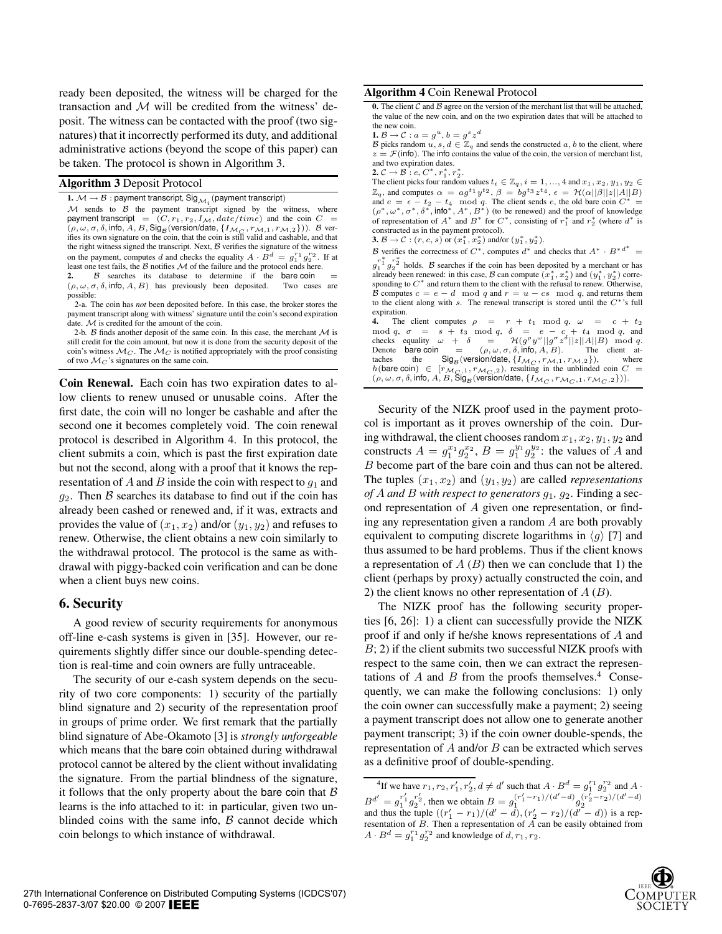ready been deposited, the witness will be charged for the transaction and  $M$  will be credited from the witness' deposit. The witness can be contacted with the proof (two signatures) that it incorrectly performed its duty, and additional administrative actions (beyond the scope of this paper) can be taken. The protocol is shown in Algorithm 3.

#### Algorithm 3 Deposit Protocol

**1.**  $M \rightarrow B$  : payment transcript, Sig<sub>M<sub>i</sub></sub> (payment transcript)

M sends to B the payment transcript signed by the witness, where payment transcript =  $(C, r_1, r_2, I_M, date/time)$  and the coin  $C =$  $(\rho, \omega, \sigma, \delta, \textsf{info}, A, B, \textsf{Sig}_\mathcal{B}(\textsf{version}/\textsf{date}, \{I_{\mathcal{M}_\mathcal{C}}, r_{\mathcal{M},1}, r_{\mathcal{M},2}\}))$ . B verifies its own signature on the coin, that the coin is still valid and cashable, and that the right witness signed the transcript. Next,  $B$  verifies the signature of the witness on the payment, computes d and checks the equality  $A \cdot B^d = g_1^{r_1} g_2^{r_2}$ . If at least one test fails, the  $B$  notifies  $M$  of the failure and the protocol ends here.<br>
2  $B$  searches its database to determine if the hare coin  $\beta$  searches its database to determine if the bare coin =  $(\rho, \omega, \sigma, \delta, \text{info}, A, B)$  has previously been deposited. Two cases are possible:

2-a. The coin has *not* been deposited before. In this case, the broker stores the payment transcript along with witness' signature until the coin's second expiration date. M is credited for the amount of the coin.

2-b.  $\beta$  finds another deposit of the same coin. In this case, the merchant  $\mathcal M$  is still credit for the coin amount, but now it is done from the security deposit of the coin's witness  $\mathcal{M}_C$ . The  $\mathcal{M}_C$  is notified appropriately with the proof consisting of two  $\mathcal{M}_{\mathcal{C}}$ 's signatures on the same coin.

Coin Renewal. Each coin has two expiration dates to allow clients to renew unused or unusable coins. After the first date, the coin will no longer be cashable and after the second one it becomes completely void. The coin renewal protocol is described in Algorithm 4. In this protocol, the client submits a coin, which is past the first expiration date but not the second, along with a proof that it knows the representation of A and B inside the coin with respect to  $q_1$  and  $g_2$ . Then B searches its database to find out if the coin has already been cashed or renewed and, if it was, extracts and provides the value of  $(x_1, x_2)$  and/or  $(y_1, y_2)$  and refuses to renew. Otherwise, the client obtains a new coin similarly to the withdrawal protocol. The protocol is the same as withdrawal with piggy-backed coin verification and can be done when a client buys new coins.

#### 6. Security

A good review of security requirements for anonymous off-line e-cash systems is given in [35]. However, our requirements slightly differ since our double-spending detection is real-time and coin owners are fully untraceable.

The security of our e-cash system depends on the security of two core components: 1) security of the partially blind signature and 2) security of the representation proof in groups of prime order. We first remark that the partially blind signature of Abe-Okamoto [3] is *strongly unforgeable* which means that the bare coin obtained during withdrawal protocol cannot be altered by the client without invalidating the signature. From the partial blindness of the signature, it follows that the only property about the bare coin that  $\beta$ learns is the info attached to it: in particular, given two unblinded coins with the same info,  $\beta$  cannot decide which coin belongs to which instance of withdrawal.

#### Algorithm 4 Coin Renewal Protocol

0. The client  $\mathcal C$  and  $\mathcal B$  agree on the version of the merchant list that will be attached. the value of the new coin, and on the two expiration dates that will be attached to the new coin.

**1.**  $B \to C$ :  $a = g^u$ ,  $b = g^s z^d$ <br>B picks random  $u$ ,  $s$ ,  $d \in \mathbb{Z}_q$  and sends the constructed  $a$ ,  $b$  to the client, where  $z = \mathcal{F}$ (info). The info contains the value of the coin, the version of merchant list,

and two expiration dates.<br>2.  $C \rightarrow B : e, C^*, r_1^*, r_2^*$ .

The client picks four random values  $t_i \in \mathbb{Z}_q$ ,  $i = 1, ..., 4$  and  $x_1, x_2, y_1, y_2 \in$  $\mathbb{Z}_q$ , and computes  $\alpha = ag^{t_1}y^{t_2}, \beta = bg^{t_3}z^{t_4}, \epsilon = \mathcal{H}(\alpha||\beta||z||A||B)$ and  $e = \epsilon - t_2 - t_4 \mod q$ . The client sends e, the old bare coin  $C^* = (p^*, \omega^*, \sigma^*, \delta^*, \text{info}^*, A^*, B^*)$  (to be renewed) and the proof of knowledge of representation of  $A^*$  and  $B^*$  for  $C^*$ , consisting of  $r_1^*$  and  $r_2^*$ constructed as in the payment protocol).

3.  $\mathcal{B} \to \mathcal{C}$ :  $(r, c, s)$  or  $(x_1^*, x_2^*)$  and/or  $(y_1^*, y_2^*)$ .

B verifies the correctness of C<sup>\*</sup>, computes  $d^*$  and checks that  $A^* \cdot B^{*d^*} =$ 

 $g_1^{r_1^*} g_2^{r_2^*}$  holds. B searches if the coin has been deposited by a merchant or has already been renewed: in this case, B can compute  $(x_1^*, x_2^*)$  and  $(y_1^*, y_2^*)$  corresponding to  $C^*$  and return them to the client with the refusal to renew. Otherwise,  $\overrightarrow{B}$  computes  $c = e - d \mod q$  and  $r = u - cs \mod q$ , and returns them to the client along with s. The renewal transcript is stored until the  $C^*$ 's full expiration.

**4.** The client computes  $\rho = r + t_1 \mod q$ ,  $\omega = c + t_2 \mod q$ ,  $\sigma = s + t_3 \mod q$ ,  $\delta = e - c + t_4 \mod q$ , and checks equality  $\omega + \delta = \mathcal{H}(g^{\rho}y^{\omega}||g^{\sigma}z^{\delta}||z||A||B) \mod q$ . Denote bare coin =  $(\rho, \omega, \sigma, \delta, \text{info}, A, B)$ . The client attaches the  $\text{Sig}_\mathcal{B}(\text{version}/\text{date}, \{I_{\mathcal{M}_C}, r_{\mathcal{M},1}, r_{\mathcal{M},2}\}),$  where h(bare coin)  $\in$   $[r_{\mathcal{M}_C,1}, r_{\mathcal{M}_C,2})$ , resulting in the unblinded coin  $C = (\rho, \omega, \sigma, \delta, \text{info}, A, B, \text{Sig}_B(\text{version}/\text{date}, \{I_{\mathcal{M}_C}, r_{\mathcal{M}_C,1}, r_{\mathcal{M}_C,2}\}))$ .

Security of the NIZK proof used in the payment protocol is important as it proves ownership of the coin. During withdrawal, the client chooses random  $x_1, x_2, y_1, y_2$  and constructs  $A = g_1^{x_1} g_2^{x_2}, B = g_1^{y_1} g_2^{y_2}$ : the values of A and B become part of the bare coin and thus can not be altered. The tuples  $(x_1, x_2)$  and  $(y_1, y_2)$  are called *representations of* A and B with respect to generators  $q_1$ ,  $q_2$ . Finding a second representation of A given one representation, or finding any representation given a random A are both provably equivalent to computing discrete logarithms in  $\langle g \rangle$  [7] and thus assumed to be hard problems. Thus if the client knows a representation of  $A(B)$  then we can conclude that 1) the client (perhaps by proxy) actually constructed the coin, and 2) the client knows no other representation of  $A(B)$ .

The NIZK proof has the following security properties [6, 26]: 1) a client can successfully provide the NIZK proof if and only if he/she knows representations of A and  $B$ ; 2) if the client submits two successful NIZK proofs with respect to the same coin, then we can extract the representations of A and B from the proofs themselves.<sup>4</sup> Consequently, we can make the following conclusions: 1) only the coin owner can successfully make a payment; 2) seeing a payment transcript does not allow one to generate another payment transcript; 3) if the coin owner double-spends, the representation of  $A$  and/or  $B$  can be extracted which serves as a definitive proof of double-spending.

<sup>&</sup>lt;sup>4</sup>If we have  $r_1, r_2, r'_1, r'_2, d \neq d'$  such that  $A \cdot B^d = g_1^{r_1} g_2^{r_2}$  and  $A \cdot$  $B^{d'} = g_1^{r'_1} g_2^{r'_2}$ , then we obtain  $B = g_1^{(r'_1 - r_1)/(d' - d)} g_2^{(r'_2 - r_2)/(d' - d)}$ <br>and thus the tuple  $((r'_1 - r_1)/(d' - d), (r'_2 - r_2)/(d' - d))$  is a representation of B. Then a representation of A can be easily obtained from  $A \cdot B^d = g_1^{r_1} g_2^{r_2}$  and knowledge of  $d, r_1, r_2$ .

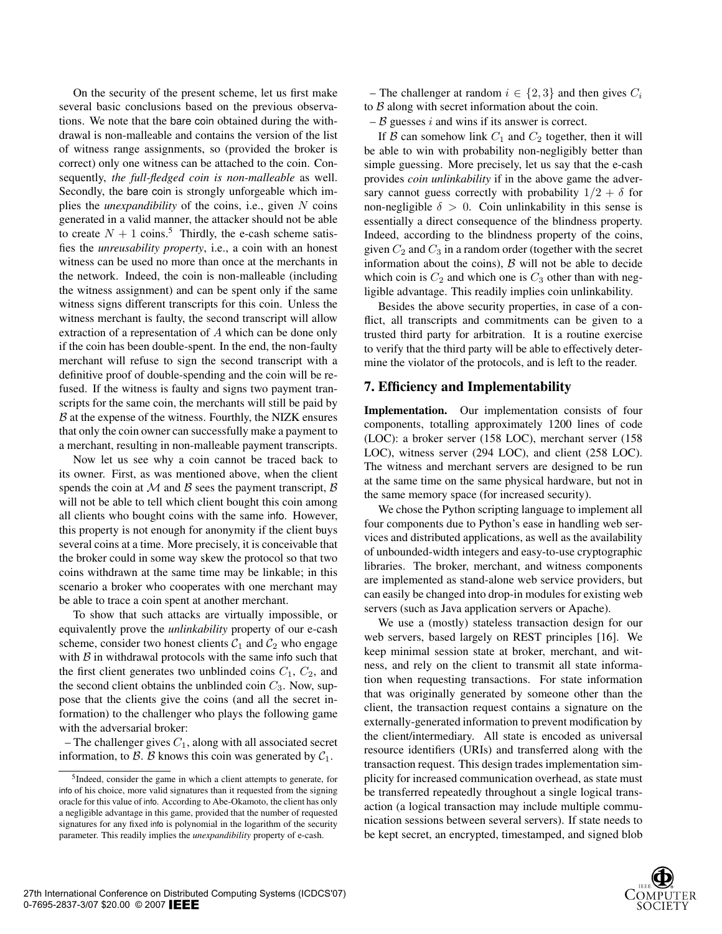On the security of the present scheme, let us first make several basic conclusions based on the previous observations. We note that the bare coin obtained during the withdrawal is non-malleable and contains the version of the list of witness range assignments, so (provided the broker is correct) only one witness can be attached to the coin. Consequently, *the full-fledged coin is non-malleable* as well. Secondly, the bare coin is strongly unforgeable which implies the *unexpandibility* of the coins, i.e., given N coins generated in a valid manner, the attacker should not be able to create  $N + 1$  coins.<sup>5</sup> Thirdly, the e-cash scheme satisfies the *unreusability property*, i.e., a coin with an honest witness can be used no more than once at the merchants in the network. Indeed, the coin is non-malleable (including the witness assignment) and can be spent only if the same witness signs different transcripts for this coin. Unless the witness merchant is faulty, the second transcript will allow extraction of a representation of A which can be done only if the coin has been double-spent. In the end, the non-faulty merchant will refuse to sign the second transcript with a definitive proof of double-spending and the coin will be refused. If the witness is faulty and signs two payment transcripts for the same coin, the merchants will still be paid by  $\beta$  at the expense of the witness. Fourthly, the NIZK ensures that only the coin owner can successfully make a payment to a merchant, resulting in non-malleable payment transcripts.

Now let us see why a coin cannot be traced back to its owner. First, as was mentioned above, when the client spends the coin at  $M$  and  $B$  sees the payment transcript,  $B$ will not be able to tell which client bought this coin among all clients who bought coins with the same info. However, this property is not enough for anonymity if the client buys several coins at a time. More precisely, it is conceivable that the broker could in some way skew the protocol so that two coins withdrawn at the same time may be linkable; in this scenario a broker who cooperates with one merchant may be able to trace a coin spent at another merchant.

To show that such attacks are virtually impossible, or equivalently prove the *unlinkability* property of our e-cash scheme, consider two honest clients  $C_1$  and  $C_2$  who engage with  $\beta$  in withdrawal protocols with the same info such that the first client generates two unblinded coins  $C_1$ ,  $C_2$ , and the second client obtains the unblinded coin  $C_3$ . Now, suppose that the clients give the coins (and all the secret information) to the challenger who plays the following game with the adversarial broker:

– The challenger gives  $C_1$ , along with all associated secret information, to B. B knows this coin was generated by  $C_1$ .

– The challenger at random  $i \in \{2, 3\}$  and then gives  $C_i$ to  $\beta$  along with secret information about the coin.

 $-B$  guesses i and wins if its answer is correct.

If  $\beta$  can somehow link  $C_1$  and  $C_2$  together, then it will be able to win with probability non-negligibly better than simple guessing. More precisely, let us say that the e-cash provides *coin unlinkability* if in the above game the adversary cannot guess correctly with probability  $1/2 + \delta$  for non-negligible  $\delta > 0$ . Coin unlinkability in this sense is essentially a direct consequence of the blindness property. Indeed, according to the blindness property of the coins, given  $C_2$  and  $C_3$  in a random order (together with the secret information about the coins),  $\beta$  will not be able to decide which coin is  $C_2$  and which one is  $C_3$  other than with negligible advantage. This readily implies coin unlinkability.

Besides the above security properties, in case of a conflict, all transcripts and commitments can be given to a trusted third party for arbitration. It is a routine exercise to verify that the third party will be able to effectively determine the violator of the protocols, and is left to the reader.

### 7. Efficiency and Implementability

Implementation. Our implementation consists of four components, totalling approximately 1200 lines of code (LOC): a broker server (158 LOC), merchant server (158 LOC), witness server (294 LOC), and client (258 LOC). The witness and merchant servers are designed to be run at the same time on the same physical hardware, but not in the same memory space (for increased security).

We chose the Python scripting language to implement all four components due to Python's ease in handling web services and distributed applications, as well as the availability of unbounded-width integers and easy-to-use cryptographic libraries. The broker, merchant, and witness components are implemented as stand-alone web service providers, but can easily be changed into drop-in modules for existing web servers (such as Java application servers or Apache).

We use a (mostly) stateless transaction design for our web servers, based largely on REST principles [16]. We keep minimal session state at broker, merchant, and witness, and rely on the client to transmit all state information when requesting transactions. For state information that was originally generated by someone other than the client, the transaction request contains a signature on the externally-generated information to prevent modification by the client/intermediary. All state is encoded as universal resource identifiers (URIs) and transferred along with the transaction request. This design trades implementation simplicity for increased communication overhead, as state must be transferred repeatedly throughout a single logical transaction (a logical transaction may include multiple communication sessions between several servers). If state needs to be kept secret, an encrypted, timestamped, and signed blob



<sup>&</sup>lt;sup>5</sup>Indeed, consider the game in which a client attempts to generate, for info of his choice, more valid signatures than it requested from the signing oracle for this value of info. According to Abe-Okamoto, the client has only a negligible advantage in this game, provided that the number of requested signatures for any fixed info is polynomial in the logarithm of the security parameter. This readily implies the *unexpandibility* property of e-cash.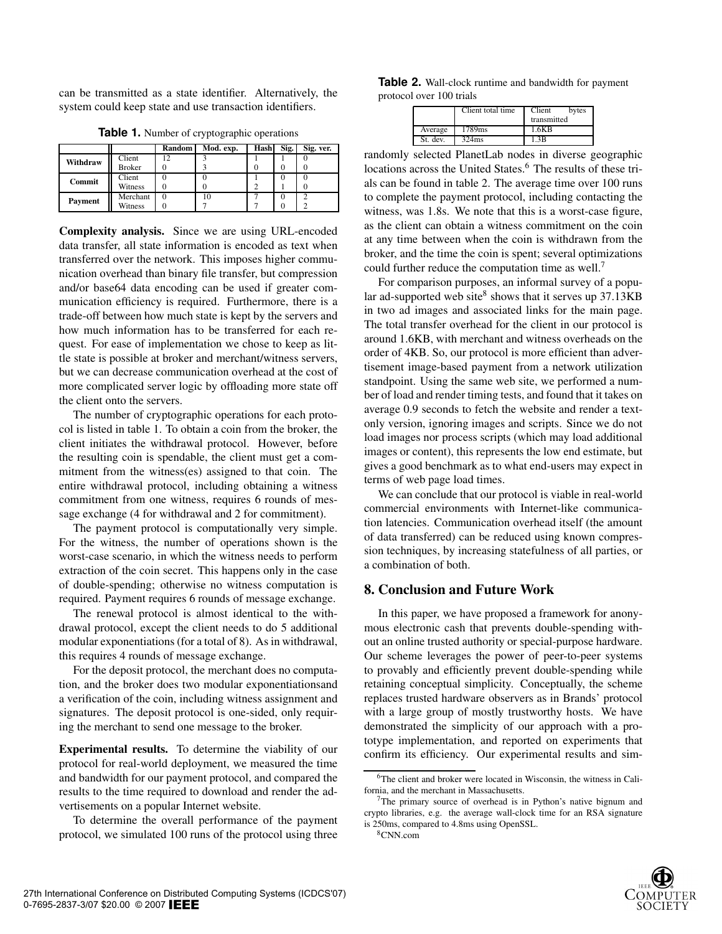can be transmitted as a state identifier. Alternatively, the system could keep state and use transaction identifiers.

|                |               | Random | Mod. exp. | Hash | Sig. | Sig. ver. |
|----------------|---------------|--------|-----------|------|------|-----------|
| Withdraw       | Client        |        |           |      |      |           |
|                | <b>Broker</b> |        |           |      |      |           |
| Commit         | Client        |        |           |      |      |           |
|                | Witness       |        |           |      |      |           |
| <b>Payment</b> | Merchant      |        | 10        |      |      |           |
|                | Witness       |        |           |      |      |           |

**Table 1.** Number of cryptographic operations

Complexity analysis. Since we are using URL-encoded data transfer, all state information is encoded as text when transferred over the network. This imposes higher communication overhead than binary file transfer, but compression and/or base64 data encoding can be used if greater communication efficiency is required. Furthermore, there is a trade-off between how much state is kept by the servers and how much information has to be transferred for each request. For ease of implementation we chose to keep as little state is possible at broker and merchant/witness servers, but we can decrease communication overhead at the cost of more complicated server logic by offloading more state off the client onto the servers.

The number of cryptographic operations for each protocol is listed in table 1. To obtain a coin from the broker, the client initiates the withdrawal protocol. However, before the resulting coin is spendable, the client must get a commitment from the witness(es) assigned to that coin. The entire withdrawal protocol, including obtaining a witness commitment from one witness, requires 6 rounds of message exchange (4 for withdrawal and 2 for commitment).

The payment protocol is computationally very simple. For the witness, the number of operations shown is the worst-case scenario, in which the witness needs to perform extraction of the coin secret. This happens only in the case of double-spending; otherwise no witness computation is required. Payment requires 6 rounds of message exchange.

The renewal protocol is almost identical to the withdrawal protocol, except the client needs to do 5 additional modular exponentiations (for a total of 8). As in withdrawal, this requires 4 rounds of message exchange.

For the deposit protocol, the merchant does no computation, and the broker does two modular exponentiationsand a verification of the coin, including witness assignment and signatures. The deposit protocol is one-sided, only requiring the merchant to send one message to the broker.

Experimental results. To determine the viability of our protocol for real-world deployment, we measured the time and bandwidth for our payment protocol, and compared the results to the time required to download and render the advertisements on a popular Internet website.

To determine the overall performance of the payment protocol, we simulated 100 runs of the protocol using three

**Table 2.** Wall-clock runtime and bandwidth for payment protocol over 100 trials

|          | Client total time | Client<br>bytes<br>transmitted |
|----------|-------------------|--------------------------------|
| Average  | 1789ms            | 1.6KB                          |
| St. dev. | 324ms             | 1.3B                           |

randomly selected PlanetLab nodes in diverse geographic locations across the United States.<sup>6</sup> The results of these trials can be found in table 2. The average time over 100 runs to complete the payment protocol, including contacting the witness, was 1.8s. We note that this is a worst-case figure, as the client can obtain a witness commitment on the coin at any time between when the coin is withdrawn from the broker, and the time the coin is spent; several optimizations could further reduce the computation time as well.<sup>7</sup>

For comparison purposes, an informal survey of a popular ad-supported web site<sup>8</sup> shows that it serves up 37.13KB in two ad images and associated links for the main page. The total transfer overhead for the client in our protocol is around 1.6KB, with merchant and witness overheads on the order of 4KB. So, our protocol is more efficient than advertisement image-based payment from a network utilization standpoint. Using the same web site, we performed a number of load and render timing tests, and found that it takes on average 0.9 seconds to fetch the website and render a textonly version, ignoring images and scripts. Since we do not load images nor process scripts (which may load additional images or content), this represents the low end estimate, but gives a good benchmark as to what end-users may expect in terms of web page load times.

We can conclude that our protocol is viable in real-world commercial environments with Internet-like communication latencies. Communication overhead itself (the amount of data transferred) can be reduced using known compression techniques, by increasing statefulness of all parties, or a combination of both.

## 8. Conclusion and Future Work

In this paper, we have proposed a framework for anonymous electronic cash that prevents double-spending without an online trusted authority or special-purpose hardware. Our scheme leverages the power of peer-to-peer systems to provably and efficiently prevent double-spending while retaining conceptual simplicity. Conceptually, the scheme replaces trusted hardware observers as in Brands' protocol with a large group of mostly trustworthy hosts. We have demonstrated the simplicity of our approach with a prototype implementation, and reported on experiments that confirm its efficiency. Our experimental results and sim-



 $6$ The client and broker were located in Wisconsin, the witness in California, and the merchant in Massachusetts.

 $7$ The primary source of overhead is in Python's native bignum and crypto libraries, e.g. the average wall-clock time for an RSA signature is 250ms, compared to 4.8ms using OpenSSL.

<sup>8</sup>CNN.com